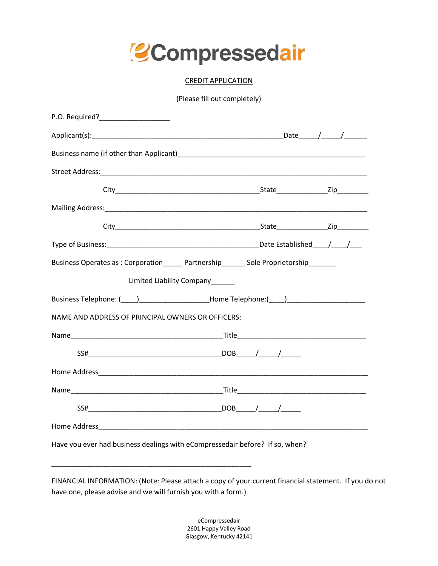

## CREDIT APPLICATION

(Please fill out completely)

| Business name (if other than Applicant) and the control of the control of the control of the control of the control of the control of the control of the control of the control of the control of the control of the control o |  |
|--------------------------------------------------------------------------------------------------------------------------------------------------------------------------------------------------------------------------------|--|
|                                                                                                                                                                                                                                |  |
|                                                                                                                                                                                                                                |  |
|                                                                                                                                                                                                                                |  |
|                                                                                                                                                                                                                                |  |
|                                                                                                                                                                                                                                |  |
| Business Operates as: Corporation Partnership Sole Proprietorship                                                                                                                                                              |  |
| Limited Liability Company                                                                                                                                                                                                      |  |
| Business Telephone: ( ) The Reference Home Telephone: ( )                                                                                                                                                                      |  |
| NAME AND ADDRESS OF PRINCIPAL OWNERS OR OFFICERS:                                                                                                                                                                              |  |
|                                                                                                                                                                                                                                |  |
|                                                                                                                                                                                                                                |  |
|                                                                                                                                                                                                                                |  |
|                                                                                                                                                                                                                                |  |
|                                                                                                                                                                                                                                |  |
|                                                                                                                                                                                                                                |  |
| Have you ever had business dealings with eCompressedair before? If so, when?                                                                                                                                                   |  |

FINANCIAL INFORMATION: (Note: Please attach a copy of your current financial statement. If you do not have one, please advise and we will furnish you with a form.)

\_\_\_\_\_\_\_\_\_\_\_\_\_\_\_\_\_\_\_\_\_\_\_\_\_\_\_\_\_\_\_\_\_\_\_\_\_\_\_\_\_\_\_\_\_\_\_\_\_\_\_

eCompressedair 2601 Happy Valley Road Glasgow, Kentucky 42141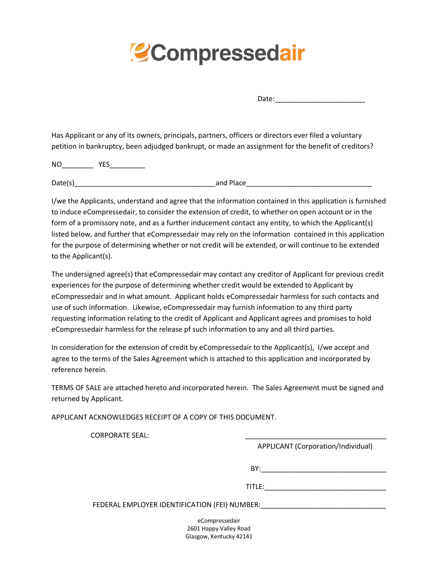## **Compressedair**

Date:

Has Applicant or any of its owners, principals, partners, officers or directors ever filed a voluntary petition in bankruptcy, been adjudged bankrupt, or made an assignment for the benefit of creditors?

NO\_\_\_\_\_\_\_\_ YES\_\_\_\_\_\_\_\_\_

Date(s)\_\_\_\_\_\_\_\_\_\_\_\_\_\_\_\_\_\_\_\_\_\_\_\_\_\_\_\_\_\_\_\_\_\_\_\_and Place\_\_\_\_\_\_\_\_\_\_\_\_\_\_\_\_\_\_\_\_\_\_\_\_\_\_\_\_\_\_\_\_

I/we the Applicants, understand and agree that the information contained in this application is furnished to induce eCompressedair, to consider the extension of credit, to whether on open account or in the form of a promissory note, and as a further inducement contact any entity, to which the Applicant(s) listed below, and further that eCompressedair may rely on the information contained in this application for the purpose of determining whether or not credit will be extended, or will continue to be extended to the Applicant(s).

The undersigned agree(s) that eCompressedair may contact any creditor of Applicant for previous credit experiences for the purpose of determining whether credit would be extended to Applicant by eCompressedair and in what amount. Applicant holds eCompressedair harmless for such contacts and use of such information. Likewise, eCompressedair may furnish information to any third party requesting information relating to the credit of Applicant and Applicant agrees and promises to hold eCompressedair harmless for the release pf such information to any and all third parties.

In consideration for the extension of credit by eCompressedair to the Applicant(s), I/we accept and agree to the terms of the Sales Agreement which is attached to this application and incorporated by reference herein.

TERMS OF SALE are attached hereto and incorporated herein. The Sales Agreement must be signed and returned by Applicant.

APPLICANT ACKNOWLEDGES RECEIPT OF A COPY OF THIS DOCUMENT.

CORPORATE SEAL:

APPLICANT (Corporation/Individual)

BY:\_\_\_\_\_\_\_\_\_\_\_\_\_\_\_\_\_\_\_\_\_\_\_\_\_\_\_\_\_\_\_\_

TITLE:\_\_\_\_\_\_\_\_\_\_\_\_\_\_\_\_\_\_\_\_\_\_\_\_\_\_\_\_\_\_\_

FEDERAL EMPLOYER IDENTIFICATION (FEI) NUMBER: \_\_\_\_\_\_\_\_\_\_\_\_\_\_\_\_\_\_\_\_\_\_\_\_\_\_\_\_\_\_\_\_\_\_

eCompressedair 2601 Happy Valley Road Glasgow, Kentucky 42141